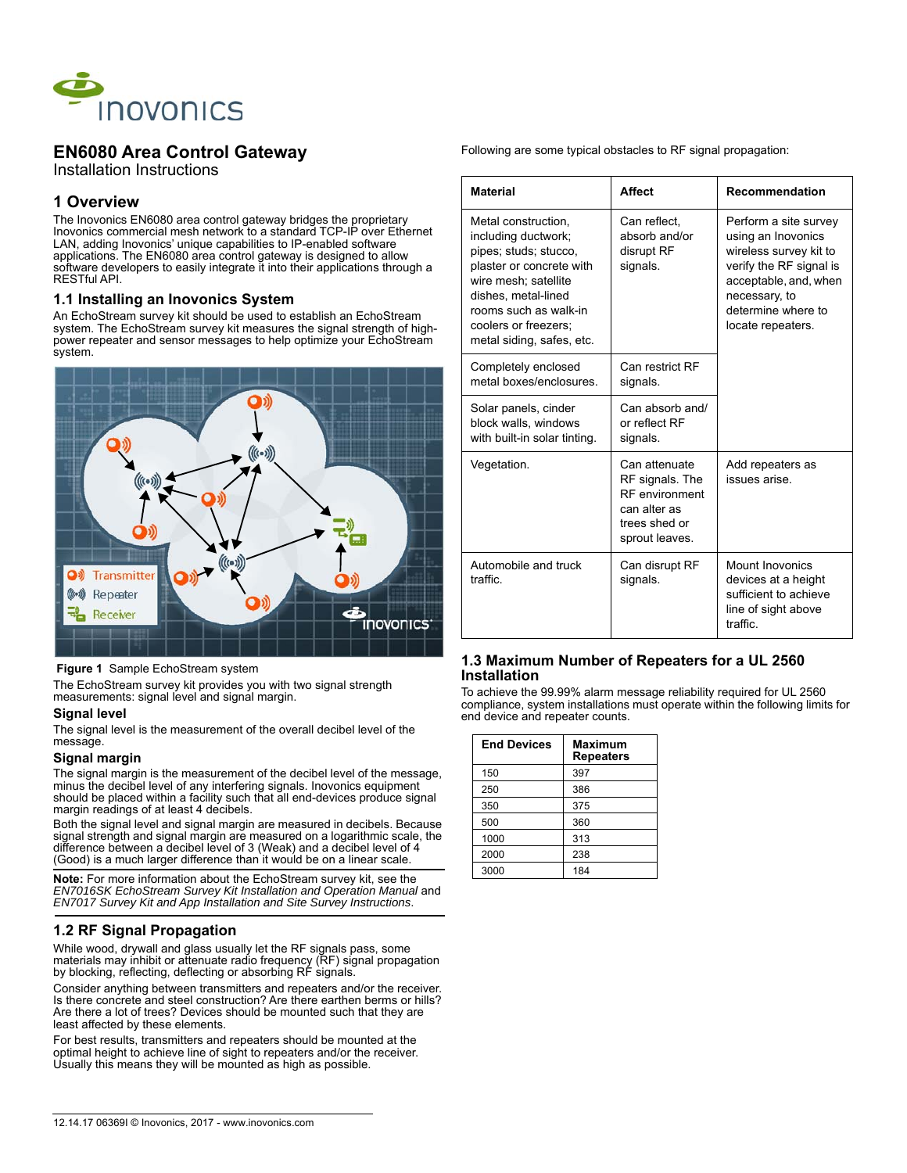

# **EN6080 Area Control Gateway**

Installation Instructions

## **1 Overview**

The Inovonics EN6080 area control gateway bridges the proprietary Inovonics commercial mesh network to a standard TCP-IP over Ethernet LAN, adding Inovonics' unique capabilities to IP-enabled software applications. The EN6080 area control gateway is designed to allow software developers to easily integrate it into their applications through a RESTful API.

### **1.1 Installing an Inovonics System**

An EchoStream survey kit should be used to establish an EchoStream system. The EchoStream survey kit measures the signal strength of highpower repeater and sensor messages to help optimize your EchoStream system.



#### **Figure 1** Sample EchoStream system

The EchoStream survey kit provides you with two signal strength measurements: signal level and signal margin.

#### **Signal level**

The signal level is the measurement of the overall decibel level of the message.

#### **Signal margin**

The signal margin is the measurement of the decibel level of the message, minus the decibel level of any interfering signals. Inovonics equipment should be placed within a facility such that all end-devices produce signal margin readings of at least 4 decibels.

Both the signal level and signal margin are measured in decibels. Because signal strength and signal margin are measured on a logarithmic scale, the difference between a decibel level of 3 (Weak) and a decibel level of 4 (Good) is a much larger difference than it would be on a linear scale.

**Note:** For more information about the EchoStream survey kit, see the *EN7016SK EchoStream Survey Kit Installation and Operation Manual* and *EN7017 Survey Kit and App Installation and Site Survey Instructions*.

## **1.2 RF Signal Propagation**

While wood, drywall and glass usually let the RF signals pass, some materials may inhibit or attenuate radio frequency (RF) signal propagation by blocking, reflecting, deflecting or absorbing RF signals.

Consider anything between transmitters and repeaters and/or the receiver. Is there concrete and steel construction? Are there earthen berms or hills? Are there a lot of trees? Devices should be mounted such that they are least affected by these elements.

For best results, transmitters and repeaters should be mounted at the optimal height to achieve line of sight to repeaters and/or the receiver. Usually this means they will be mounted as high as possible.

Following are some typical obstacles to RF signal propagation:

| <b>Material</b>                                                                                                                                                                                                              | <b>Affect</b>                                                                                                | <b>Recommendation</b>                                                                                                                                                                 |
|------------------------------------------------------------------------------------------------------------------------------------------------------------------------------------------------------------------------------|--------------------------------------------------------------------------------------------------------------|---------------------------------------------------------------------------------------------------------------------------------------------------------------------------------------|
| Metal construction.<br>including ductwork;<br>pipes; studs; stucco,<br>plaster or concrete with<br>wire mesh; satellite<br>dishes, metal-lined<br>rooms such as walk-in<br>coolers or freezers:<br>metal siding, safes, etc. | Can reflect,<br>absorb and/or<br>disrupt RF<br>signals.                                                      | Perform a site survey<br>using an Inovonics<br>wireless survey kit to<br>verify the RF signal is<br>acceptable, and, when<br>necessary, to<br>determine where to<br>locate repeaters. |
| Completely enclosed<br>metal boxes/enclosures                                                                                                                                                                                | Can restrict RF<br>signals.                                                                                  |                                                                                                                                                                                       |
| Solar panels, cinder<br>block walls, windows<br>with built-in solar tinting.                                                                                                                                                 | Can absorb and/<br>or reflect RF<br>signals.                                                                 |                                                                                                                                                                                       |
| Vegetation.                                                                                                                                                                                                                  | Can attenuate<br>RF signals. The<br><b>RF</b> environment<br>can alter as<br>trees shed or<br>sprout leaves. | Add repeaters as<br>issues arise                                                                                                                                                      |
| Automobile and truck<br>traffic.                                                                                                                                                                                             | Can disrupt RF<br>signals.                                                                                   | Mount Inovonics<br>devices at a height<br>sufficient to achieve<br>line of sight above<br>traffic                                                                                     |

### **1.3 Maximum Number of Repeaters for a UL 2560 Installation**

To achieve the 99.99% alarm message reliability required for UL 2560 compliance, system installations must operate within the following limits for end device and repeater counts.

| <b>End Devices</b> | <b>Maximum</b><br><b>Repeaters</b> |
|--------------------|------------------------------------|
| 150                | 397                                |
| 250                | 386                                |
| 350                | 375                                |
| 500                | 360                                |
| 1000               | 313                                |
| 2000               | 238                                |
| 3000               | 184                                |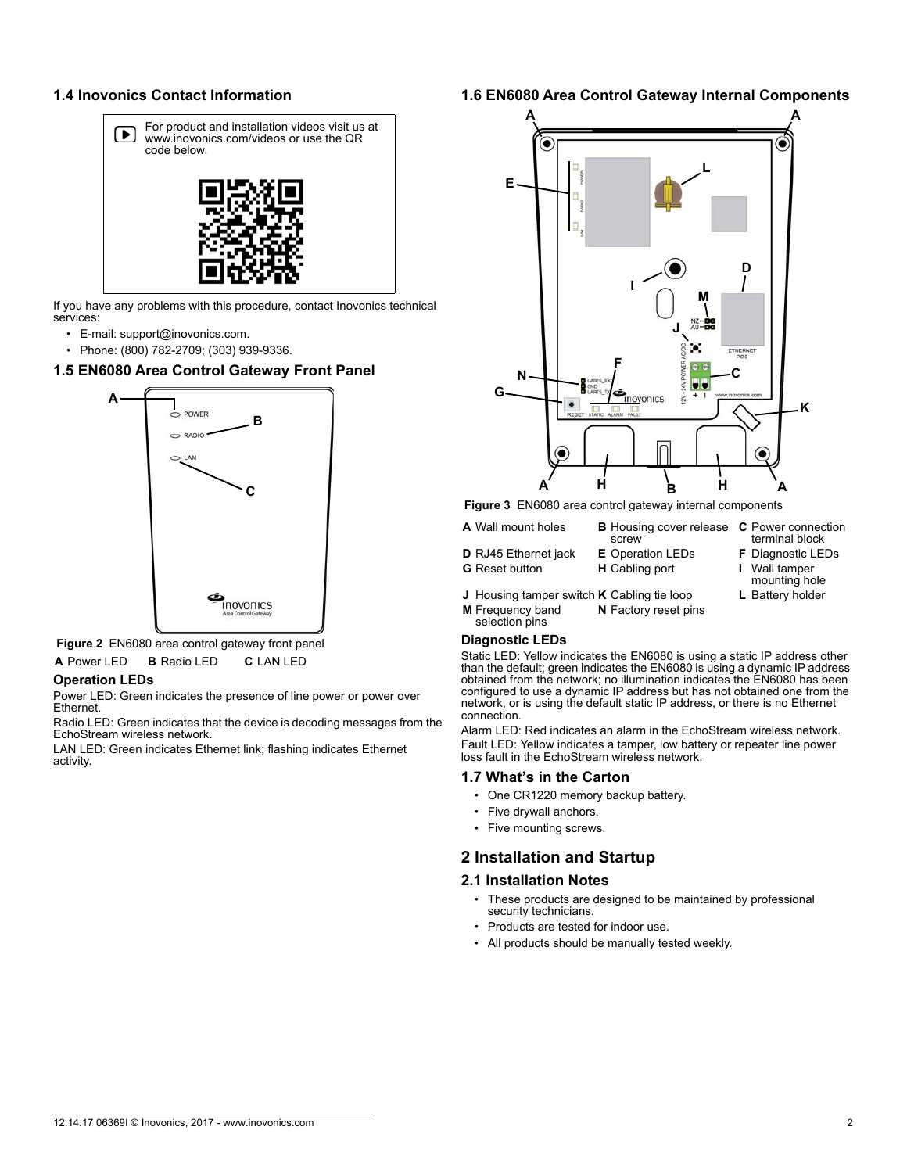### **1.4 Inovonics Contact Information**



If you have any problems with this procedure, contact Inovonics technical services:

- E-mail: support@inovonics.com.
- Phone: (800) 782-2709; (303) 939-9336.

### **1.5 EN6080 Area Control Gateway Front Panel**



 **Figure 2** EN6080 area control gateway front panel **A** Power LED **B** Radio LED **C** LAN LED

#### **Operation LEDs**

Power LED: Green indicates the presence of line power or power over Ethernet.

Radio LED: Green indicates that the device is decoding messages from the EchoStream wireless network.

LAN LED: Green indicates Ethernet link; flashing indicates Ethernet activity.

## **1.6 EN6080 Area Control Gateway Internal Components**



 **Figure 3** EN6080 area control gateway internal components

- **A** Wall mount holes **B** Housing cover release **C** Power connection
- 
- screw<br>E Operation LEDs **D** RJ45 Ethernet jack **E** Operation LEDs **F** Diagnostic LEDs
	-
- terminal block **G** Reset button **H** Cabling port **I** Wall tamper mounting hole
	-
- **J** Housing tamper switch **K** Cabling tie loop **L** Battery holder **M** Frequency band selection pins **N** Factory reset pins

#### **Diagnostic LEDs**

Static LED: Yellow indicates the EN6080 is using a static IP address other than the default; green indicates the EN6080 is using a dynamic IP address obtained from the network; no illumination indicates the EN6080 has been configured to use a dynamic IP address but has not obtained one from the network, or is using the default static IP address, or there is no Ethernet connection.

Alarm LED: Red indicates an alarm in the EchoStream wireless network. Fault LED: Yellow indicates a tamper, low battery or repeater line power loss fault in the EchoStream wireless network.

#### **1.7 What's in the Carton**

- One CR1220 memory backup battery.
- Five drywall anchors.
- Five mounting screws.

### **2 Installation and Startup**

#### **2.1 Installation Notes**

- These products are designed to be maintained by professional security technicians.
- Products are tested for indoor use.
- All products should be manually tested weekly.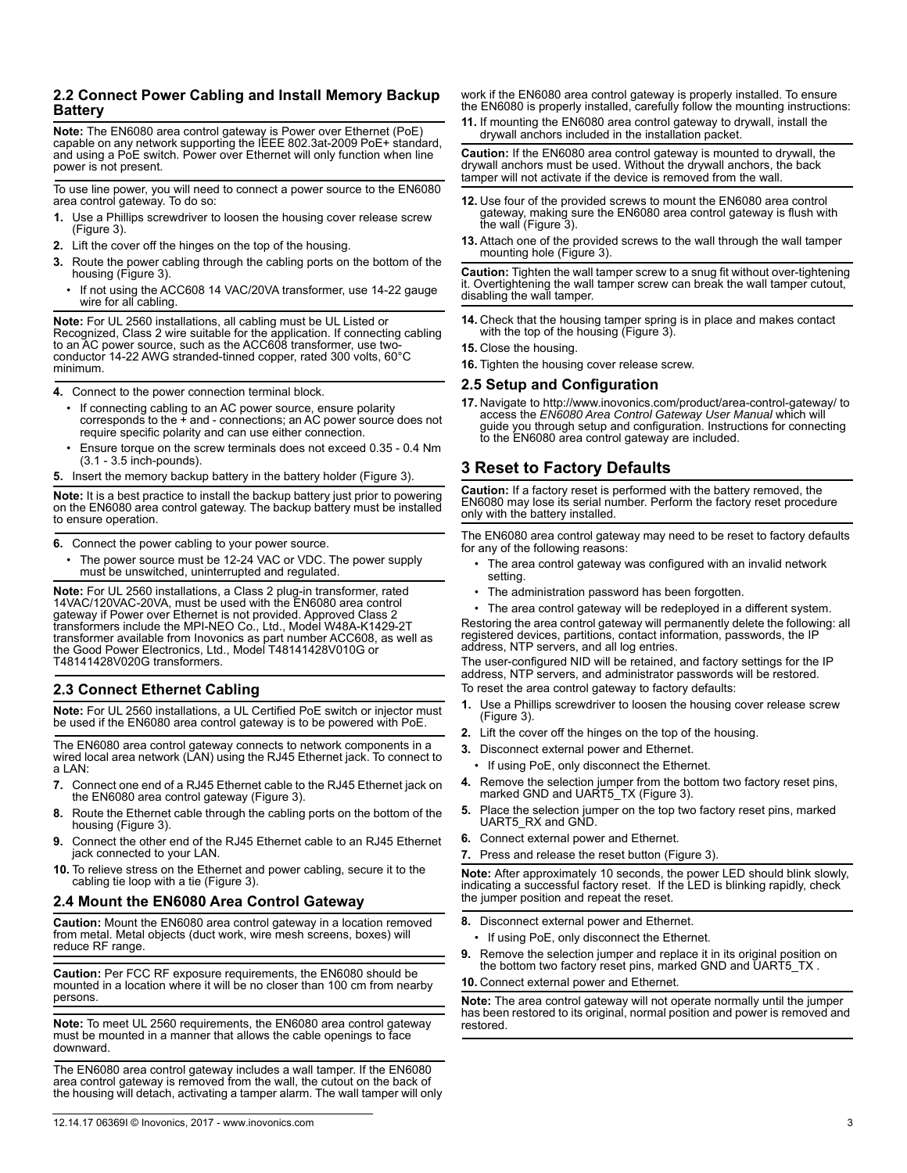### **2.2 Connect Power Cabling and Install Memory Backup Battery**

**Note:** The EN6080 area control gateway is Power over Ethernet (PoE) capable on any network supporting the IEEE 802.3at-2009 PoE+ standard, and using a PoE switch. Power over Ethernet will only function when line power is not present.

To use line power, you will need to connect a power source to the EN6080 area control gateway. To do so:

- **1.** Use a Phillips screwdriver to loosen the housing cover release screw (Figure 3).
- **2.** Lift the cover off the hinges on the top of the housing.
- **3.** Route the power cabling through the cabling ports on the bottom of the housing (Figure 3).
	- If not using the ACC608 14 VAC/20VA transformer, use 14-22 gauge wire for all cabling.

**Note:** For UL 2560 installations, all cabling must be UL Listed or Recognized, Class 2 wire suitable for the application. If connecting cabling to an AC power source, such as the ACC608 transformer, use twoconductor 14-22 AWG stranded-tinned copper, rated 300 volts, 60°C minimum.

**4.** Connect to the power connection terminal block.

- If connecting cabling to an AC power source, ensure polarity corresponds to the  $+$  and - connections; an AC power source does not require specific polarity and can use either connection.
- Ensure torque on the screw terminals does not exceed 0.35 0.4 Nm (3.1 - 3.5 inch-pounds).
- **5.** Insert the memory backup battery in the battery holder (Figure 3).

**Note:** It is a best practice to install the backup battery just prior to powering on the EN6080 area control gateway. The backup battery must be installed to ensure operation.

**6.** Connect the power cabling to your power source.

The power source must be 12-24 VAC or VDC. The power supply must be unswitched, uninterrupted and regulated.

**Note:** For UL 2560 installations, a Class 2 plug-in transformer, rated 14VAC/120VAC-20VA, must be used with the EN6080 area control gateway if Power over Ethernet is not provided. Approved Class 2 transformers include the MPI-NEO Co., Ltd., Model W48A-K1429-2T transformer available from Inovonics as part number ACC608, as well as the Good Power Electronics, Ltd., Model T48141428V010G or T48141428V020G transformers.

### **2.3 Connect Ethernet Cabling**

**Note:** For UL 2560 installations, a UL Certified PoE switch or injector must be used if the EN6080 area control gateway is to be powered with PoE.

The EN6080 area control gateway connects to network components in a wired local area network (LAN) using the RJ45 Ethernet jack. To connect to a LAN:

- **7.** Connect one end of a RJ45 Ethernet cable to the RJ45 Ethernet jack on the EN6080 area control gateway (Figure 3).
- **8.** Route the Ethernet cable through the cabling ports on the bottom of the housing (Figure 3).
- **9.** Connect the other end of the RJ45 Ethernet cable to an RJ45 Ethernet jack connected to your LAN.
- **10.** To relieve stress on the Ethernet and power cabling, secure it to the cabling tie loop with a tie (Figure 3).

### **2.4 Mount the EN6080 Area Control Gateway**

**Caution:** Mount the EN6080 area control gateway in a location removed from metal. Metal objects (duct work, wire mesh screens, boxes) will reduce RF range.

**Caution:** Per FCC RF exposure requirements, the EN6080 should be mounted in a location where it will be no closer than 100 cm from nearby persons.

**Note:** To meet UL 2560 requirements, the EN6080 area control gateway must be mounted in a manner that allows the cable openings to face downward.

The EN6080 area control gateway includes a wall tamper. If the EN6080 area control gateway is removed from the wall, the cutout on the back of the housing will detach, activating a tamper alarm. The wall tamper will only work if the EN6080 area control gateway is properly installed. To ensure the EN6080 is properly installed, carefully follow the mounting instructions:

**11.** If mounting the EN6080 area control gateway to drywall, install the drywall anchors included in the installation packet.

**Caution:** If the EN6080 area control gateway is mounted to drywall, the drywall anchors must be used. Without the drywall anchors, the back tamper will not activate if the device is removed from the wall.

- **12.** Use four of the provided screws to mount the EN6080 area control gateway, making sure the EN6080 area control gateway is flush with the wall (Figure 3).
- **13.** Attach one of the provided screws to the wall through the wall tamper mounting hole (Figure 3).

**Caution:** Tighten the wall tamper screw to a snug fit without over-tightening it. Overtightening the wall tamper screw can break the wall tamper cutout, disabling the wall tamper.

- **14.** Check that the housing tamper spring is in place and makes contact with the top of the housing (Figure 3).
- **15.** Close the housing.

**16.** Tighten the housing cover release screw.

#### **2.5 Setup and Configuration**

**17.** Navigate to http://www.inovonics.com/product/area-control-gateway/ to access the *EN6080 Area Control Gateway User Manual* which will guide you through setup and configuration. Instructions for connecting to the EN6080 area control gateway are included.

## **3 Reset to Factory Defaults**

**Caution:** If a factory reset is performed with the battery removed, the EN6080 may lose its serial number. Perform the factory reset procedure only with the battery installed.

The EN6080 area control gateway may need to be reset to factory defaults for any of the following reasons:

- The area control gateway was configured with an invalid network setting.
- The administration password has been forgotten.
- The area control gateway will be redeployed in a different system.

Restoring the area control gateway will permanently delete the following: all registered devices, partitions, contact information, passwords, the IP address, NTP servers, and all log entries.

The user-configured NID will be retained, and factory settings for the IP address, NTP servers, and administrator passwords will be restored. To reset the area control gateway to factory defaults:

**1.** Use a Phillips screwdriver to loosen the housing cover release screw (Figure 3).

- **2.** Lift the cover off the hinges on the top of the housing.
- **3.** Disconnect external power and Ethernet.
	- If using PoE, only disconnect the Ethernet.
- **4.** Remove the selection jumper from the bottom two factory reset pins, marked GND and UART5\_TX (Figure 3).
- **5.** Place the selection jumper on the top two factory reset pins, marked UART5\_RX and GND.
- **6.** Connect external power and Ethernet.
- **7.** Press and release the reset button (Figure 3).

**Note:** After approximately 10 seconds, the power LED should blink slowly, indicating a successful factory reset. If the LED is blinking rapidly, check the jumper position and repeat the reset.

- **8.** Disconnect external power and Ethernet.
	- If using PoE, only disconnect the Ethernet.
- **9.** Remove the selection jumper and replace it in its original position on the bottom two factory reset pins, marked GND and UART5\_TX .

#### **10.** Connect external power and Ethernet.

**Note:** The area control gateway will not operate normally until the jumper has been restored to its original, normal position and power is removed and restored.